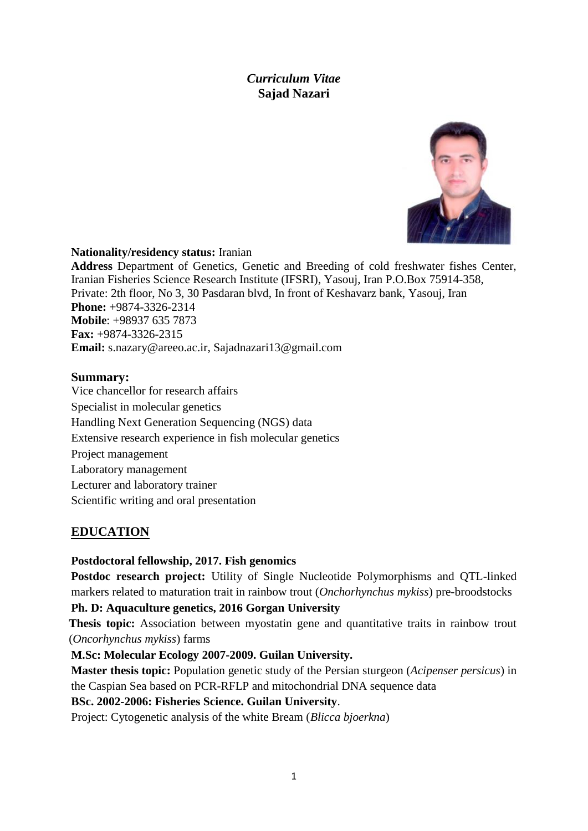# *Curriculum Vitae* **Sajad Nazari**



### **Nationality/residency status:** Iranian

**Address** Department of Genetics, Genetic and Breeding of cold freshwater fishes Center, Iranian Fisheries Science Research Institute (IFSRI), Yasouj, Iran P.O.Box 75914-358, Private: 2th floor, No 3, 30 Pasdaran blvd, In front of Keshavarz bank, Yasouj, Iran **Phone:** +9874-3326-2314 **Mobile**: +98937 635 7873 **Fax:** +9874-3326-2315 **Email:** s.nazary@areeo.ac.ir, Sajadnazari13@gmail.com

### **Summary:**

Vice chancellor for research affairs Specialist in molecular genetics Handling Next Generation Sequencing (NGS) data Extensive research experience in fish molecular genetics Project management Laboratory management Lecturer and laboratory trainer Scientific writing and oral presentation

## **EDUCATION**

**Postdoctoral fellowship, 2017. Fish genomics**

**Postdoc research project:** Utility of Single Nucleotide Polymorphisms and QTL-linked markers related to maturation trait in rainbow trout (*Onchorhynchus mykiss*) pre-broodstocks

### **Ph. D: Aquaculture genetics, 2016 Gorgan University**

**Thesis topic:** Association between myostatin gene and quantitative traits in rainbow trout (*Oncorhynchus mykiss*) farms

### **M.Sc: Molecular Ecology 2007-2009. Guilan University.**

**Master thesis topic:** Population genetic study of the Persian sturgeon (*Acipenser persicus*) in the Caspian Sea based on PCR-RFLP and mitochondrial DNA sequence data

### **BSc. 2002-2006: Fisheries Science. Guilan University**.

Project: Cytogenetic analysis of the white Bream (*Blicca bjoerkna*)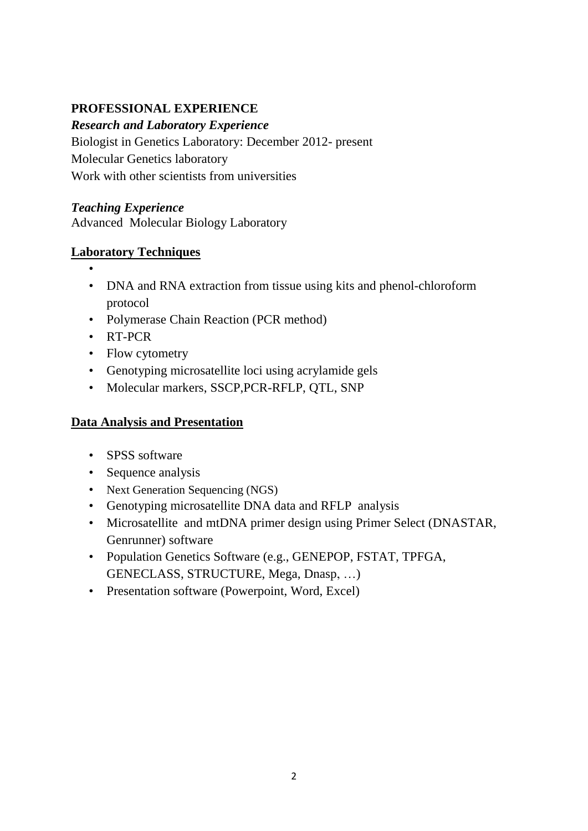# **PROFESSIONAL EXPERIENCE**

# *Research and Laboratory Experience*

Biologist in Genetics Laboratory: December 2012- present Molecular Genetics laboratory Work with other scientists from universities

## *Teaching Experience*

Advanced Molecular Biology Laboratory

## **Laboratory Techniques**

- •
- DNA and RNA extraction from tissue using kits and phenol-chloroform protocol
- Polymerase Chain Reaction (PCR method)
- RT-PCR
- Flow cytometry
- Genotyping microsatellite loci using acrylamide gels
- Molecular markers, SSCP,PCR-RFLP, QTL, SNP

# **Data Analysis and Presentation**

- SPSS software
- Sequence analysis
- Next Generation Sequencing (NGS)
- Genotyping microsatellite DNA data and RFLP analysis
- Microsatellite and mtDNA primer design using Primer Select (DNASTAR, Genrunner) software
- Population Genetics Software (e.g., GENEPOP, FSTAT, TPFGA, GENECLASS, STRUCTURE, Mega, Dnasp, …)
- Presentation software (Powerpoint, Word, Excel)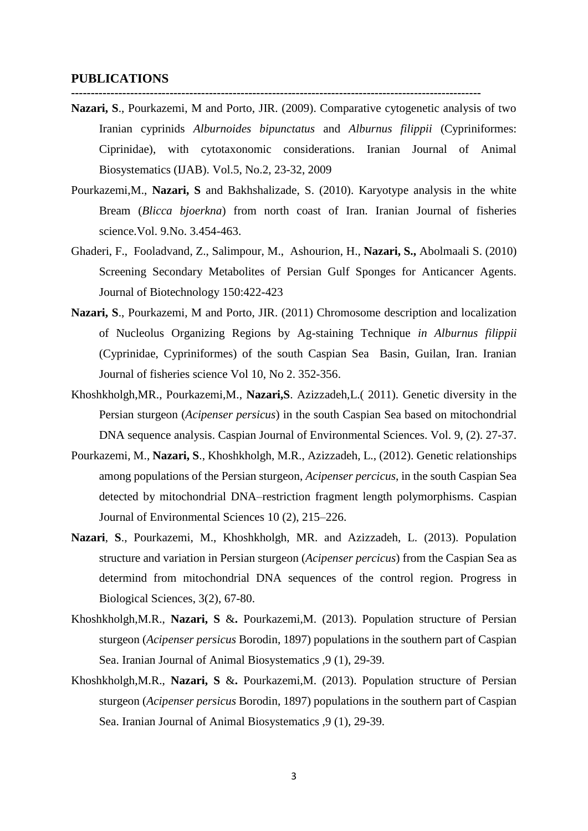#### **PUBLICATIONS**

**Nazari, S**., Pourkazemi, M and Porto, JIR. (2009). Comparative cytogenetic analysis of two Iranian cyprinids *Alburnoides bipunctatus* and *Alburnus filippii* (Cypriniformes: Ciprinidae), with cytotaxonomic considerations. Iranian Journal of Animal Biosystematics (IJAB). Vol.5, No.2, 23-32, 2009

**--------------------------------------------------------------------------------------------------------**

- Pourkazemi,M., **Nazari, S** and Bakhshalizade, S. (2010). Karyotype analysis in the white Bream (*Blicca bjoerkna*) from north coast of Iran. Iranian Journal of fisheries science.Vol. 9.No. 3.454-463.
- [Ghaderi,](http://www.sciencedirect.com/science/article/pii/S0168165610014896) F., [Fooladvand,](http://www.sciencedirect.com/science/article/pii/S0168165610014896) Z., Salimpour, M., [Ashourion,](http://www.sciencedirect.com/science/article/pii/S0168165610014896) H., **[Nazari,](http://www.sciencedirect.com/science/article/pii/S0168165610014896) S.,** [Abolmaali](http://www.sciencedirect.com/science/article/pii/S0168165610014896) S. (2010) Screening Secondary Metabolites of Persian Gulf Sponges for Anticancer Agents. Journal of Biotechnology 150:422-423
- **Nazari, S**., Pourkazemi, M and Porto, JIR. (2011) Chromosome description and localization of Nucleolus Organizing Regions by Ag-staining Technique *in Alburnus filippii* (Cyprinidae, Cypriniformes) of the south Caspian Sea Basin, Guilan, Iran. Iranian Journal of fisheries science Vol 10, No 2. 352-356.
- Khoshkholgh,MR., Pourkazemi,M., **Nazari,S**. Azizzadeh,L.( 2011). Genetic diversity in the Persian sturgeon (*Acipenser persicus*) in the south Caspian Sea based on mitochondrial DNA sequence analysis. Caspian Journal of Environmental Sciences. Vol. 9, (2). 27-37.
- Pourkazemi, M., **Nazari, S**., Khoshkholgh, M.R., Azizzadeh, L., (2012). Genetic relationships among populations of the Persian sturgeon, *Acipenser percicus*, in the south Caspian Sea detected by mitochondrial DNA–restriction fragment length polymorphisms. Caspian Journal of Environmental Sciences 10 (2), 215–226.
- **Nazari**, **S**., Pourkazemi, M., Khoshkholgh, MR. and Azizzadeh, L. (2013). Population structure and variation in Persian sturgeon (*Acipenser percicus*) from the Caspian Sea as determind from mitochondrial DNA sequences of the control region. Progress in Biological Sciences, 3(2), 67-80.
- Khoshkholgh,M.R., **Nazari, S** &**.** Pourkazemi,M. (2013). Population structure of Persian sturgeon (*Acipenser persicus* Borodin, 1897) populations in the southern part of Caspian Sea. Iranian Journal of Animal Biosystematics ,9 (1), 29-39.
- Khoshkholgh,M.R., **Nazari, S** &**.** Pourkazemi,M. (2013). Population structure of Persian sturgeon (*Acipenser persicus* Borodin, 1897) populations in the southern part of Caspian Sea. Iranian Journal of Animal Biosystematics ,9 (1), 29-39.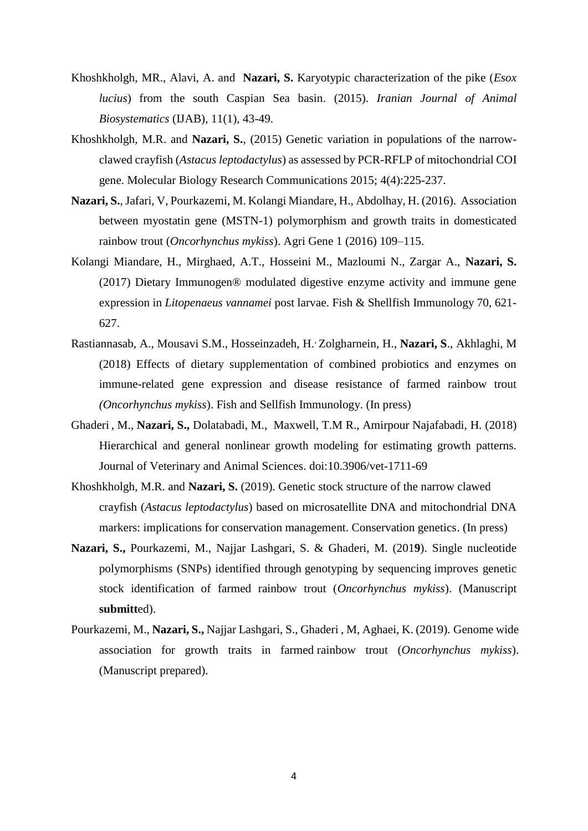- Khoshkholgh, MR., Alavi, A. and **Nazari, S.** Karyotypic characterization of the pike (*Esox lucius*) from the south Caspian Sea basin. (2015). *Iranian Journal of Animal Biosystematics* (IJAB), 11(1), 43-49.
- Khoshkholgh, M.R. and **Nazari, S.**, (2015) Genetic variation in populations of the narrowclawed crayfish (*Astacus leptodactylus*) as assessed by PCR-RFLP of mitochondrial COI gene. Molecular Biology Research Communications 2015; 4(4):225-237.
- **Nazari, S.**, Jafari, V, Pourkazemi, M. Kolangi Miandare, H., Abdolhay, H. (2016). Association between myostatin gene (MSTN-1) polymorphism and growth traits in domesticated rainbow trout (*Oncorhynchus mykiss*). Agri Gene 1 (2016) 109–115.
- Kolangi Miandare, H., Mirghaed, A.T., Hosseini M., Mazloumi N., Zargar A., **Nazari, S.** (2017) Dietary Immunogen® modulated digestive enzyme activity and immune gene expression in *Litopenaeus vannamei* post larvae. Fish & Shellfish Immunology 70, 621- 627.
- Rastiannasab, A., Mousavi S.M., Hosseinzadeh, H., Zolgharnein, H., **Nazari, S**., Akhlaghi, M (2018) Effects of dietary supplementation of combined probiotics and enzymes on immune-related gene expression and disease resistance of farmed rainbow trout *(Oncorhynchus mykiss*). Fish and Sellfish Immunology. (In press)
- Ghaderi , M., **Nazari, S.,** Dolatabadi, M., Maxwell, T.M R., Amirpour Najafabadi, H. (2018) Hierarchical and general nonlinear growth modeling for estimating growth patterns. Journal of Veterinary and Animal Sciences. doi:10.3906/vet-1711-69
- Khoshkholgh, M.R. and **Nazari, S.** (2019). Genetic stock structure of the narrow clawed crayfish (*Astacus leptodactylus*) based on microsatellite DNA and mitochondrial DNA markers: implications for conservation management. Conservation genetics. (In press)
- **Nazari, S.,** Pourkazemi, M., Najjar Lashgari, S. & Ghaderi, M. (201**9**). [Single nucleotide](http://www.nrcresearchpress.com/doi/abs/10.1139/cjfas-2013-0502)  [polymorphisms \(SNPs\) identified through](http://www.nrcresearchpress.com/doi/abs/10.1139/cjfas-2013-0502) genotyping by sequencing improves genetic [stock identification of farmed rainbow trout \(](http://www.nrcresearchpress.com/doi/abs/10.1139/cjfas-2013-0502)*Oncorhynchus mykiss*). (Manuscript **[submitt](http://www.nrcresearchpress.com/doi/abs/10.1139/cjfas-2013-0502)**ed).
- Pourkazemi, M., **Nazari, S.,** [Najjar Lashgari, S.,](http://www.nrcresearchpress.com/doi/abs/10.1139/cjfas-2013-0502) Ghaderi , M, Aghaei, K. (2019). [Genome wide](https://bmcgenomics.biomedcentral.com/articles/10.1186/s12864-015-2117-9)  [association for growth traits in farmed](https://bmcgenomics.biomedcentral.com/articles/10.1186/s12864-015-2117-9) rainbow trout (*Oncorhynchus mykiss*). (Manuscript prepared).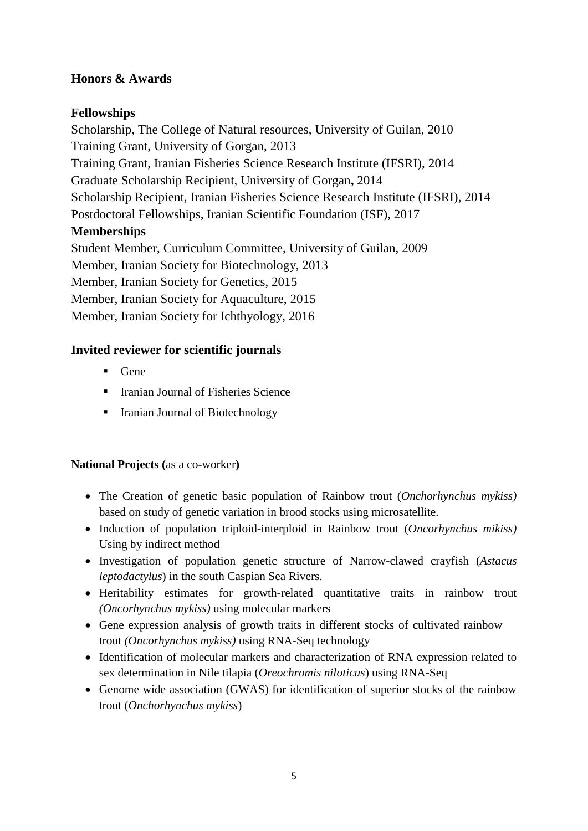# **Honors & Awards**

# **Fellowships**

Scholarship, The College of Natural resources, University of Guilan, 2010 Training Grant, University of Gorgan, 2013 Training Grant, Iranian Fisheries Science Research Institute (IFSRI), 2014 Graduate Scholarship Recipient, University of Gorgan**,** 2014 Scholarship Recipient, Iranian Fisheries Science Research Institute (IFSRI), 2014 Postdoctoral Fellowships, Iranian Scientific Foundation (ISF), 2017 **Memberships** Student Member, Curriculum Committee, University of Guilan, 2009 Member, Iranian Society for Biotechnology, 2013 Member, Iranian Society for Genetics, 2015 Member, Iranian Society for Aquaculture, 2015 Member, Iranian Society for Ichthyology, 2016

## **Invited reviewer for scientific journals**

- Gene
- Iranian Journal of Fisheries Science
- Iranian Journal of Biotechnology

## **National Projects (**as a co-worker**)**

- The Creation of genetic basic population of Rainbow trout (*Onchorhynchus mykiss)* based on study of genetic variation in brood stocks using microsatellite.
- Induction of population triploid-interploid in Rainbow trout (*Oncorhynchus mikiss*) Using by indirect method
- Investigation of population genetic structure of Narrow-clawed crayfish (*Astacus leptodactylus*) in the south Caspian Sea Rivers.
- Heritability estimates for growth-related quantitative traits in rainbow trout *(Oncorhynchus mykiss)* using molecular markers
- Gene expression analysis of growth traits in different stocks of cultivated rainbow trout *(Oncorhynchus mykiss)* using RNA-Seq technology
- Identification of molecular markers and characterization of RNA expression related to sex determination in Nile tilapia (*Oreochromis niloticus*) using RNA-Seq
- Genome wide association (GWAS) for identification of superior stocks of the rainbow trout (*Onchorhynchus mykiss*)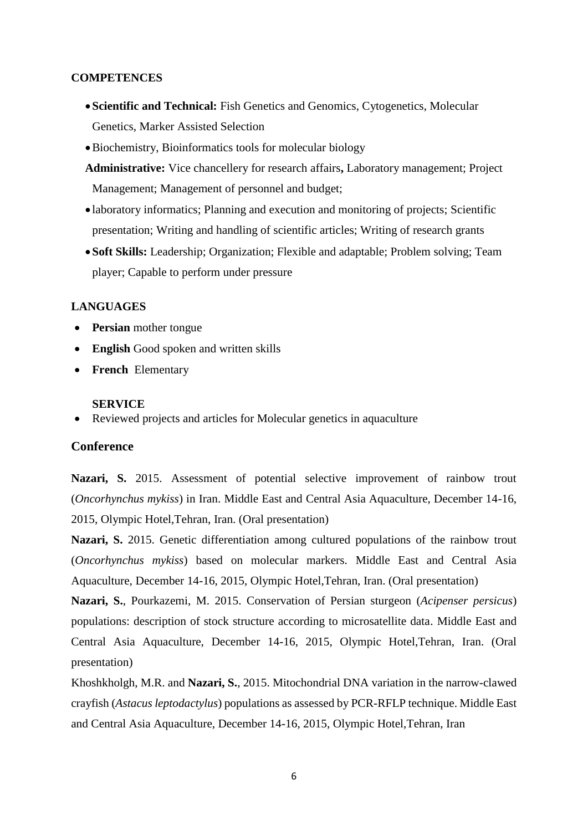#### **COMPETENCES**

- **Scientific and Technical:** Fish Genetics and Genomics, Cytogenetics, Molecular Genetics, Marker Assisted Selection
- Biochemistry, Bioinformatics tools for molecular biology
- **Administrative:** Vice chancellery for research affairs**,** Laboratory management; Project Management; Management of personnel and budget;
- laboratory informatics; Planning and execution and monitoring of projects; Scientific presentation; Writing and handling of scientific articles; Writing of research grants
- **Soft Skills:** Leadership; Organization; Flexible and adaptable; Problem solving; Team player; Capable to perform under pressure

#### **LANGUAGES**

- **• Persian** mother tongue
- **English** Good spoken and written skills
- **French** Elementary

#### **SERVICE**

Reviewed projects and articles for Molecular genetics in aquaculture

#### **Conference**

**Nazari, S.** 2015. Assessment of potential selective improvement of rainbow trout (*Oncorhynchus mykiss*) in Iran. Middle East and Central Asia Aquaculture, December 14-16, 2015, Olympic Hotel,Tehran, Iran. (Oral presentation)

**Nazari, S.** 2015. Genetic differentiation among cultured populations of the rainbow trout (*Oncorhynchus mykiss*) based on molecular markers. Middle East and Central Asia Aquaculture, December 14-16, 2015, Olympic Hotel,Tehran, Iran. (Oral presentation)

**Nazari, S.**, Pourkazemi, M. 2015. Conservation of Persian sturgeon (*Acipenser persicus*) populations: description of stock structure according to microsatellite data. Middle East and Central Asia Aquaculture, December 14-16, 2015, Olympic Hotel,Tehran, Iran. (Oral presentation)

Khoshkholgh, M.R. and **Nazari, S.**, 2015. Mitochondrial DNA variation in the narrow-clawed crayfish (*Astacus leptodactylus*) populations as assessed by PCR-RFLP technique. Middle East and Central Asia Aquaculture, December 14-16, 2015, Olympic Hotel,Tehran, Iran